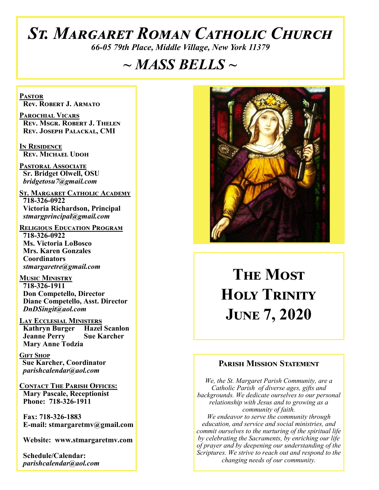## *St. Margaret Roman Catholic Church*

*66-05 79th Place, Middle Village, New York 11379*

## *~ MASS BELLS ~*

**Pastor Rev. Robert J. Armato**

**Parochial Vicars Rev. Msgr. Robert J. Thelen Rev. Joseph Palackal, CMI**

**In Residence Rev. Michael Udoh**

**Pastoral Associate Sr. Bridget Olwell, OSU**  *bridgetosu7@gmail.com*

**St. Margaret Catholic Academy 718-326-0922 Victoria Richardson, Principal**  *stmargprincipal@gmail.com*

**Religious Education Program 718-326-0922 Ms. Victoria LoBosco Mrs. Karen Gonzales Coordinators** *stmargaretre@gmail.com*

**Music Ministry 718-326-1911 Don Competello, Director Diane Competello, Asst. Director** *DnDSingit@aol.com*

**Lay Ecclesial Ministers Kathryn Burger Hazel Scanlon<br>Jeanne Perry Sue Karcher Jeanne Perry Mary Anne Todzia**

**Gift Shop Sue Karcher, Coordinator** *parishcalendar@aol.com*

**Contact The Parish Offices: Mary Pascale, Receptionist Phone: 718-326-1911** 

 **Fax: 718-326-1883 E-mail: stmargaretmv@gmail.com**

 **Website: www.stmargaretmv.com**

 **Schedule/Calendar:** *parishcalendar@aol.com* 



# **The Most Holy Trinity June 7, 2020**

### **Parish Mission Statement**

*We, the St. Margaret Parish Community, are a Catholic Parish of diverse ages, gifts and backgrounds. We dedicate ourselves to our personal relationship with Jesus and to growing as a community of faith. We endeavor to serve the community through education, and service and social ministries, and commit ourselves to the nurturing of the spiritual life by celebrating the Sacraments, by enriching our life of prayer and by deepening our understanding of the Scriptures. We strive to reach out and respond to the changing needs of our community.*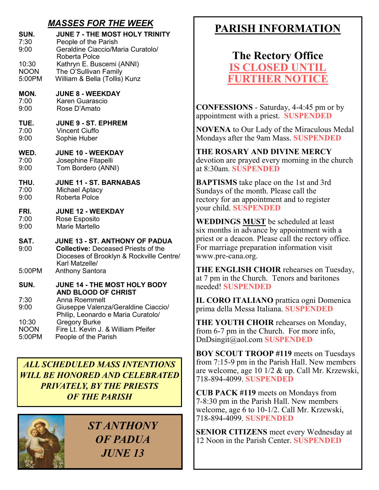## *MASSES FOR THE WEEK*

| SUN.                           | <b>JUNE 7 - THE MOST HOLY TRINITY</b>                                                                                                             |
|--------------------------------|---------------------------------------------------------------------------------------------------------------------------------------------------|
| 7:30                           | People of the Parish                                                                                                                              |
| 9:00                           | Geraldine Ciaccio/Maria Curatolo/                                                                                                                 |
| 10:30<br><b>NOON</b><br>5:00PM | Roberta Polce<br>Kathryn E. Buscemi (ANNI)<br>The O'Sullivan Family<br>William & Bella (Tollis) Kunz                                              |
| MON.                           | <b>JUNE 8 - WEEKDAY</b>                                                                                                                           |
| 7:00                           | Karen Guarascio                                                                                                                                   |
| 9:00                           | Rose D'Amato                                                                                                                                      |
| TUE.                           | <b>JUNE 9 - ST. EPHREM</b>                                                                                                                        |
| 7:00                           | <b>Vincent Ciuffo</b>                                                                                                                             |
| 9:00                           | Sophie Huber                                                                                                                                      |
| WED.                           | <b>JUNE 10 - WEEKDAY</b>                                                                                                                          |
| 7:00                           | Josephine Fitapelli                                                                                                                               |
| 9:00                           | Tom Bordero (ANNI)                                                                                                                                |
| THU.                           | <b>JUNE 11 - ST. BARNABAS</b>                                                                                                                     |
| 7:00                           | <b>Michael Aptacy</b>                                                                                                                             |
| 9:00                           | Roberta Polce                                                                                                                                     |
| FRI.                           | <b>JUNE 12 - WEEKDAY</b>                                                                                                                          |
| 7:00                           | Rose Esposito                                                                                                                                     |
| 9:00                           | Marie Martello                                                                                                                                    |
| SAT.<br>9:00                   | <b>JUNE 13 - ST. ANTHONY OF PADUA</b><br><b>Collective: Deceased Priests of the</b><br>Dioceses of Brooklyn & Rockville Centre/<br>Karl Matzelle/ |
| 5:00PM                         | <b>Anthony Santora</b>                                                                                                                            |
| SUN.                           | JUNE 14 - THE MOST HOLY BODY<br><b>AND BLOOD OF CHRIST</b>                                                                                        |
| 7:30<br>9:00                   | Anna Roemmelt<br>Giuseppe Valenza/Geraldine Ciaccio/<br>Philip, Leonardo e Maria Curatolo/                                                        |
| 10:30                          | <b>Gregory Burke</b>                                                                                                                              |
| <b>NOON</b>                    | Fire Lt. Kevin J. & William Pfeifer                                                                                                               |
| 5.00 DM                        | المتحالة والمتركب المالين                                                                                                                         |

5:00PM People of the Parish

*ALL SCHEDULED MASS INTENTIONS WILL BE HONORED AND CELEBRATED PRIVATELY, BY THE PRIESTS OF THE PARISH*

*ST ANTHONY OF PADUA JUNE 13*

## **PARISH INFORMATION**

**The Rectory Office IS CLOSED UNT FURTHER NOTICE**

**CONFESSIONS** - Saturday, 4-4:45 pm or by appointment with a priest. **SUSPENDED**

**NOVENA** to Our Lady of the Miraculous Medal Mondays after the 9am Mass. **SUSPENDED**

**THE ROSARY AND DIVINE MERCY** devotion are prayed every morning in the church at 8:30am. **SUSPENDED**

**BAPTISMS** take place on the 1st and 3rd Sundays of the month. Please call the rectory for an appointment and to register your child. **SUSPENDED**

**WEDDINGS MUST** be scheduled at least six months in advance by appointment with a priest or a deacon. Please call the rectory office. For marriage preparation information visit www.pre-cana.org.

**THE ENGLISH CHOIR** rehearses on Tuesday, at 7 pm in the Church. Tenors and baritones needed! **SUSPENDED**

**IL CORO ITALIANO** prattica ogni Domenica prima della Messa Italiana. **SUSPENDED**

**THE YOUTH CHOIR** rehearses on Monday, from 6-7 pm in the Church. For more info, DnDsingit@aol.com **SUSPENDED**

**BOY SCOUT TROOP #119** meets on Tuesdays from 7:15-9 pm in the Parish Hall. New members are welcome, age 10 1/2 & up. Call Mr. Krzewski, 718-894-4099. **SUSPENDED**

**CUB PACK #119** meets on Mondays from 7-8:30 pm in the Parish Hall. New members welcome, age 6 to 10-1/2. Call Mr. Krzewski, 718-894-4099. **SUSPENDED**

**SENIOR CITIZENS** meet every Wednesday at 12 Noon in the Parish Center. **SUSPENDED**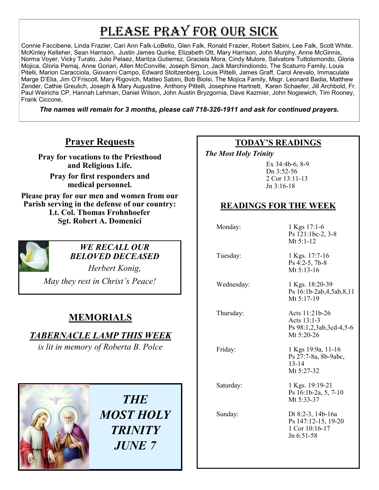## PLEASE PRAY FOR OUR SICK

Connie Faccibene, Linda Frazier, Cari Ann Falk-LoBello, Glen Falk, Ronald Frazier, Robert Sabini, Lee Falk, Scott White, McKinley Kelleher, Sean Harrison, Justin James Quirke, Elizabeth Ott, Mary Harrison, John Murphy, Anne McGinnis, Norma Voyer, Vicky Turato, Julio Pelaez, Maritza Gutierrez, Graciela Mora, Cindy Mulore, Salvatore Tuttolomondo, Gloria Mojica, Gloria Pemaj, Anne Gorian, Allen McConville, Joseph Simon, Jack Marchindiondo, The Scaturro Family, Louis Pitelli, Marion Caracciola, Giovanni Campo, Edward Stoltzenberg, Louis Pittelli, James Graff, Carol Arevalo, Immaculate Marge D'Elia, Jim O'Friscoll, Mary Rigovich, Matteo Sabini, Bob Biolsi, The Mojica Family, Msgr. Leonard Badia, Matthew Zender, Cathie Greulich, Joseph & Mary Augustine, Anthony Pittelli, Josephine Hartnett, Karen Schaefer, Jill Archbold, Fr. Paul Weirichs CP, Hannah Lehman, Daniel Wilson, John Austin Bryzgornia, Dave Kazmier, John Nogiewich, Tim Rooney, Frank Ciccone,

*The names will remain for 3 months, please call 718-326-1911 and ask for continued prayers.*

## **Prayer Requests**

**Pray for vocations to the Priesthood and Religious Life.** 

**Pray for first responders and medical personnel.**

**Please pray for our men and women from our Parish serving in the defense of our country: Lt. Col. Thomas Frohnhoefer Sgt. Robert A. Domenici** 



#### *WE RECALL OUR BELOVED DECEASED*

*Herbert Konig,* 

*May they rest in Christ's Peace!*

## **MEMORIALS**

*TABERNACLE LAMP THIS WEEK*

*is lit in memory of Roberta B. Polce* 



*THE MOST HOLY TRINITY JUNE 7*

## **TODAY'S READINGS**

 *The Most Holy Trinity* 

Ex 34:4b-6, 8-9 Dn 3:52-56 2 Cor 13:11-13 Jn 3:16-18

## **READINGS FOR THE WEEK**

Monday: 1 Kgs 17:1-6 Ps 121:1bc-2, 3-8 Mt 5:1-12

Tuesday: 1 Kgs. 17:7-16 Ps 4:2-5, 7b-8 Mt 5:13-16

Wednesday: 1 Kgs. 18:20-39 Ps 16:1b-2ab,4,5ab,8,11 Mt 5:17-19

 Thursday: Acts 11:21b-26 Acts 13:1-3 Ps 98:1,2,3ab,3cd-4,5-6 Mt 5:20-26

13-14

Friday: 1 Kgs 19:9a, 11-16

Mt 5:27-32 Saturday: 1 Kgs. 19:19-21 Ps 16:1b-2a, 5, 7-10 Mt 5:33-37

Ps 27:7-8a, 8b-9abc,

 Sunday: Dt 8:2-3, 14b-16a Ps 147:12-15, 19-20 1 Cor 10:16-17 Jn 6:51-58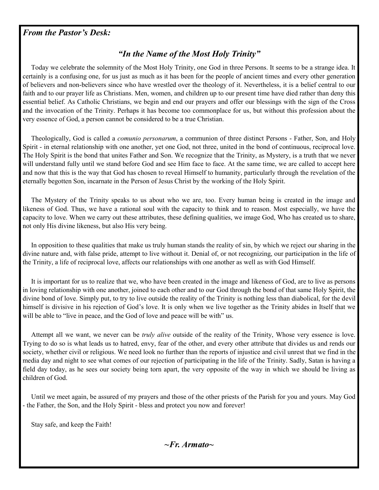#### *From the Pastor's Desk:*

## *"In the Name of the Most Holy Trinity"*

 Today we celebrate the solemnity of the Most Holy Trinity, one God in three Persons. It seems to be a strange idea. It certainly is a confusing one, for us just as much as it has been for the people of ancient times and every other generation of believers and non-believers since who have wrestled over the theology of it. Nevertheless, it is a belief central to our faith and to our prayer life as Christians. Men, women, and children up to our present time have died rather than deny this essential belief. As Catholic Christians, we begin and end our prayers and offer our blessings with the sign of the Cross and the invocation of the Trinity. Perhaps it has become too commonplace for us, but without this profession about the very essence of God, a person cannot be considered to be a true Christian.

 Theologically, God is called a *comunio personarum*, a communion of three distinct Persons - Father, Son, and Holy Spirit - in eternal relationship with one another, yet one God, not three, united in the bond of continuous, reciprocal love. The Holy Spirit is the bond that unites Father and Son. We recognize that the Trinity, as Mystery, is a truth that we never will understand fully until we stand before God and see Him face to face. At the same time, we are called to accept here and now that this is the way that God has chosen to reveal Himself to humanity, particularly through the revelation of the eternally begotten Son, incarnate in the Person of Jesus Christ by the working of the Holy Spirit.

 The Mystery of the Trinity speaks to us about who we are, too. Every human being is created in the image and likeness of God. Thus, we have a rational soul with the capacity to think and to reason. Most especially, we have the capacity to love. When we carry out these attributes, these defining qualities, we image God, Who has created us to share, not only His divine likeness, but also His very being.

 In opposition to these qualities that make us truly human stands the reality of sin, by which we reject our sharing in the divine nature and, with false pride, attempt to live without it. Denial of, or not recognizing, our participation in the life of the Trinity, a life of reciprocal love, affects our relationships with one another as well as with God Himself.

 It is important for us to realize that we, who have been created in the image and likeness of God, are to live as persons in loving relationship with one another, joined to each other and to our God through the bond of that same Holy Spirit, the divine bond of love. Simply put, to try to live outside the reality of the Trinity is nothing less than diabolical, for the devil himself is divisive in his rejection of God's love. It is only when we live together as the Trinity abides in Itself that we will be able to "live in peace, and the God of love and peace will be with" us.

 Attempt all we want, we never can be *truly alive* outside of the reality of the Trinity, Whose very essence is love. Trying to do so is what leads us to hatred, envy, fear of the other, and every other attribute that divides us and rends our society, whether civil or religious. We need look no further than the reports of injustice and civil unrest that we find in the media day and night to see what comes of our rejection of participating in the life of the Trinity. Sadly, Satan is having a field day today, as he sees our society being torn apart, the very opposite of the way in which we should be living as children of God.

 Until we meet again, be assured of my prayers and those of the other priests of the Parish for you and yours. May God - the Father, the Son, and the Holy Spirit - bless and protect you now and forever!

Stay safe, and keep the Faith!

*~Fr. Armato~*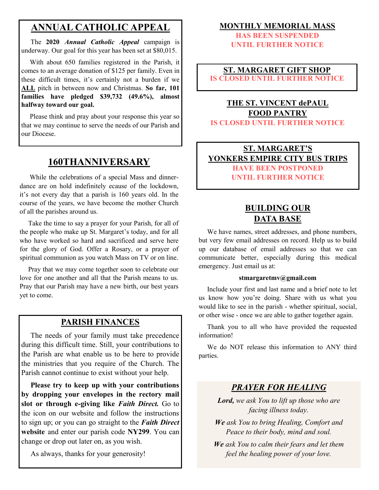## **ANNUAL CATHOLIC APPEAL**

 The **2020** *Annual Catholic Appeal* campaign is underway. Our goal for this year has been set at \$80,015.

 With about 650 families registered in the Parish, it comes to an average donation of \$125 per family. Even in these difficult times, it's certainly not a burden if we **ALL** pitch in between now and Christmas. **So far, 101 families have pledged \$39,732 (49.6%), almost halfway toward our goal.**

 Please think and pray about your response this year so that we may continue to serve the needs of our Parish and our Diocese.

## **160THANNIVERSARY**

 While the celebrations of a special Mass and dinnerdance are on hold indefinitely ecause of the lockdown, it's not every day that a parish is 160 years old. In the course of the years, we have become the mother Church of all the parishes around us.

 Take the time to say a prayer for your Parish, for all of the people who make up St. Margaret's today, and for all who have worked so hard and sacrificed and serve here for the glory of God. Offer a Rosary, or a prayer of spiritual communion as you watch Mass on TV or on line.

 Pray that we may come together soon to celebrate our love for one another and all that the Parish means to us. Pray that our Parish may have a new birth, our best years yet to come.

#### **PARISH FINANCES**

 The needs of your family must take precedence during this difficult time. Still, your contributions to the Parish are what enable us to be here to provide the ministries that you require of the Church. The Parish cannot continue to exist without your help.

 **Please try to keep up with your contributions by dropping your envelopes in the rectory mail slot or through e-giving like** *Faith Direct.* Go to the icon on our website and follow the instructions to sign up; or you can go straight to the *Faith Direct*  **website** and enter our parish code **NY299**. You can change or drop out later on, as you wish.

As always, thanks for your generosity!

#### **MONTHLY MEMORIAL MASS**

**HAS BEEN SUSPENDED UNTIL FURTHER NOTICE**

#### **ST. MARGARET GIFT SHOP IS CLOSED UNTIL FURTHER NOTICE**

#### **THE ST. VINCENT dePAUL FOOD PANTRY IS CLOSED UNTIL FURTHER NOTICE**

#### **ST. MARGARET'S YONKERS EMPIRE CITY BUS TRIPS HAVE BEEN POSTPONED UNTIL FURTHER NOTICE**

## **BUILDING OUR DATA BASE**

 We have names, street addresses, and phone numbers, but very few email addresses on record. Help us to build up our database of email addresses so that we can communicate better, especially during this medical emergency. Just email us at:

#### **stmargaretmv@gmail.com**

 Include your first and last name and a brief note to let us know how you're doing. Share with us what you would like to see in the parish - whether spiritual, social, or other wise - once we are able to gather together again.

 Thank you to all who have provided the requested information!

 We do NOT release this information to ANY third parties.

### *PRAYER FOR HEALING*

*Lord, we ask You to lift up those who are facing illness today.*

*We ask You to bring Healing, Comfort and Peace to their body, mind and soul.*

*We ask You to calm their fears and let them feel the healing power of your love.*